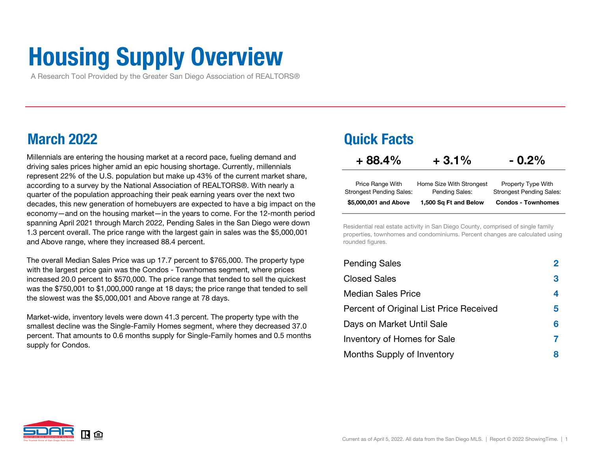# Housing Supply Overview

A Research Tool Provided by the Greater San Diego Association of REALTORS®

### March 2022

Millennials are entering the housing market at a record pace, fueling demand and  $+88.4\%$ driving sales prices higher amid an epic housing shortage. Currently, millennials represent 22% of the U.S. population but make up 43% of the current market share, according to a survey by the National Association of REALTORS®. With nearly a quarter of the population approaching their peak earning years over the next two decades, this new generation of homebuyers are expected to have a big impact on the economy—and on the housing market—in the years to come. For the 12-month period spanning April 2021 through March 2022, Pending Sales in the San Diego were down 1.3 percent overall. The price range with the largest gain in sales was the \$5,000,001 and Above range, where they increased 88.4 percent.

The overall Median Sales Price was up 17.7 percent to \$765,000. The property type with the largest price gain was the Condos - Townhomes segment, where prices increased 20.0 percent to \$570,000. The price range that tended to sell the quickest was the \$750,001 to \$1,000,000 range at 18 days; the price range that tended to sell the slowest was the \$5,000,001 and Above range at 78 days.

Market-wide, inventory levels were down 41.3 percent. The property type with the smallest decline was the Single-Family Homes segment, where they decreased 37.0 percent. That amounts to 0.6 months supply for Single-Family homes and 0.5 months supply for Condos.

### Quick Facts

| $+88.4%$                        | $+3.1%$                  | $-0.2\%$                        |
|---------------------------------|--------------------------|---------------------------------|
| Price Range With                | Home Size With Strongest | Property Type With              |
| <b>Strongest Pending Sales:</b> | Pending Sales:           | <b>Strongest Pending Sales:</b> |
| \$5,000,001 and Above           | 1,500 Sq Ft and Below    | <b>Condos - Townhomes</b>       |

Residential real estate activity in San Diego County, comprised of single family properties, townhomes and condominiums. Percent changes are calculated using rounded figures.

| <b>Pending Sales</b>                    | $\bf{2}$ |
|-----------------------------------------|----------|
| <b>Closed Sales</b>                     | 3        |
| <b>Median Sales Price</b>               | 4        |
| Percent of Original List Price Received | 5        |
| Days on Market Until Sale               | 6        |
| Inventory of Homes for Sale             |          |
| Months Supply of Inventory              | 8        |

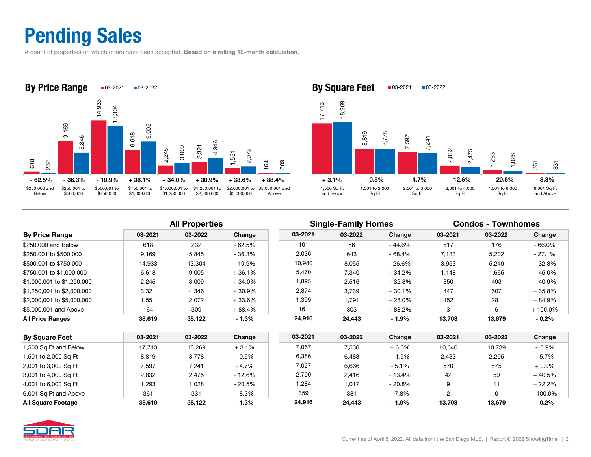### Pending Sales

A count of properties on which offers have been accepted. Based on a rolling 12-month calculation.





|                            | <b>All Properties</b> |         |           |         | <b>Single-Family Homes</b> |           | <b>Condos - Townhomes</b> |         |            |
|----------------------------|-----------------------|---------|-----------|---------|----------------------------|-----------|---------------------------|---------|------------|
| <b>By Price Range</b>      | 03-2021               | 03-2022 | Change    | 03-2021 | 03-2022                    | Change    | 03-2021                   | 03-2022 | Change     |
| \$250,000 and Below        | 618                   | 232     | $-62.5%$  | 101     | 56                         | $-44.6%$  | 517                       | 176     | $-66.0%$   |
| \$250,001 to \$500,000     | 9.169                 | 5,845   | - 36.3%   | 2,036   | 643                        | - 68.4%   | 7.133                     | 5,202   | $-27.1%$   |
| \$500,001 to \$750,000     | 14,933                | 13,304  | $-10.9\%$ | 10,980  | 8,055                      | $-26.6%$  | 3,953                     | 5,249   | $+32.8%$   |
| \$750,001 to \$1,000,000   | 6.618                 | 9,005   | $+36.1%$  | 5,470   | 7,340                      | $+34.2%$  | 1.148                     | 1,665   | $+45.0%$   |
| \$1,000,001 to \$1,250,000 | 2,245                 | 3,009   | $+34.0\%$ | 1,895   | 2,516                      | $+32.8%$  | 350                       | 493     | $+40.9%$   |
| \$1,250,001 to \$2,000,000 | 3,321                 | 4,346   | $+30.9\%$ | 2,874   | 3,739                      | $+30.1%$  | 447                       | 607     | $+35.8%$   |
| \$2,000,001 to \$5,000,000 | 1,551                 | 2,072   | $+33.6\%$ | 1,399   | 1,791                      | $+28.0\%$ | 152                       | 281     | $+84.9%$   |
| \$5,000,001 and Above      | 164                   | 309     | + 88.4%   | 161     | 303                        | + 88.2%   | 3                         | 6       | $+100.0\%$ |
| <b>All Price Ranges</b>    | 38,619                | 38,122  | $-1.3%$   | 24,916  | 24,443                     | $-1.9%$   | 13,703                    | 13,679  | $-0.2\%$   |

| <b>By Square Feet</b>     | 03-2021 | 03-2022 | Change   | 03-2021 | 03-2022 | Change   | 03-2021 | 03-2022 | Change     |
|---------------------------|---------|---------|----------|---------|---------|----------|---------|---------|------------|
| 1,500 Sq Ft and Below     | 17.713  | 18,269  | $+3.1%$  | 7.067   | 7,530   | $+6.6\%$ | 10,646  | 10,739  | $+0.9%$    |
| 1,501 to 2,000 Sq Ft      | 8.819   | 8,778   | $-0.5%$  | 6,386   | 6,483   | $+1.5%$  | 2,433   | 2,295   | - 5.7%     |
| 2,001 to 3,000 Sq Ft      | 7.597   | 7,241   | $-4.7%$  | 7,027   | 6.666   | $-5.1%$  | 570     | 575     | $+0.9%$    |
| 3.001 to 4.000 Sa Ft      | 2.832   | 2.475   | $-12.6%$ | 2.790   | 2.416   | $-13.4%$ | 42      | 59      | $+40.5%$   |
| 4,001 to 6,000 Sq Ft      | 1.293   | 028. ا  | $-20.5%$ | 1,284   | 1,017   | $-20.8%$ | 9       |         | $+22.2%$   |
| 6,001 Sq Ft and Above     | 361     | 331     | $-8.3%$  | 359     | 331     | $-7.8%$  |         |         | $-100.0\%$ |
| <b>All Square Footage</b> | 38.619  | 38.122  | $-1.3%$  | 24.916  | 24.443  | $-1.9%$  | 13.703  | 13,679  | $-0.2%$    |

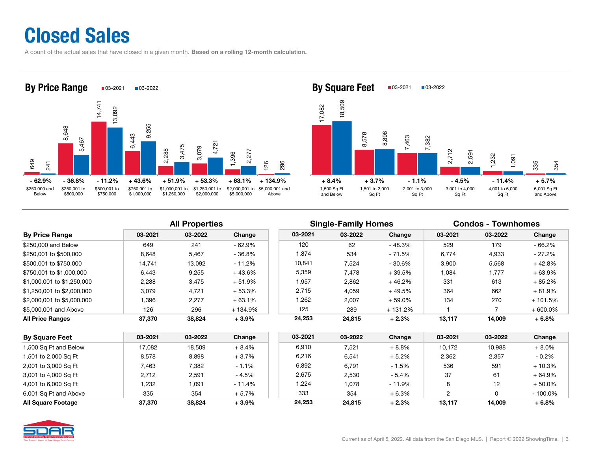### Closed Sales

A count of the actual sales that have closed in a given month. Based on a rolling 12-month calculation.





### All Properties **Single-Family Homes** Condos - Townhomes

|                            |         |         |           |         | ີ       |           |         |         |            |
|----------------------------|---------|---------|-----------|---------|---------|-----------|---------|---------|------------|
| <b>By Price Range</b>      | 03-2021 | 03-2022 | Change    | 03-2021 | 03-2022 | Change    | 03-2021 | 03-2022 | Change     |
| \$250,000 and Below        | 649     | 241     | $-62.9%$  | 120     | 62      | $-48.3%$  | 529     | 179     | $-66.2\%$  |
| \$250.001 to \$500.000     | 8.648   | 5,467   | $-36.8%$  | 1,874   | 534     | - 71.5%   | 6,774   | 4,933   | - 27.2%    |
| \$500.001 to \$750.000     | 14.741  | 13,092  | $-11.2%$  | 10.841  | 7,524   | - 30.6%   | 3,900   | 5,568   | $+42.8%$   |
| \$750.001 to \$1.000.000   | 6.443   | 9,255   | $+43.6%$  | 5,359   | 7.478   | $+39.5%$  | 1,084   | 1,777   | $+63.9%$   |
| \$1,000,001 to \$1,250,000 | 2,288   | 3,475   | + 51.9%   | 1,957   | 2,862   | $+46.2%$  | 331     | 613     | $+85.2%$   |
| \$1,250,001 to \$2,000,000 | 3.079   | 4,721   | $+53.3\%$ | 2,715   | 4.059   | + 49.5%   | 364     | 662     | $+81.9%$   |
| \$2,000,001 to \$5,000,000 | 396. ا  | 2,277   | $+63.1%$  | 1,262   | 2,007   | $+59.0\%$ | 134     | 270     | $+101.5%$  |
| \$5,000,001 and Above      | 126     | 296     | + 134.9%  | 125     | 289     | + 131.2%  |         |         | $+600.0\%$ |
| All Price Ranges           | 37,370  | 38,824  | $+3.9%$   | 24,253  | 24,815  | $+2.3%$   | 13,117  | 14,009  | $+6.8%$    |
|                            |         |         |           |         |         |           |         |         |            |

| <b>By Square Feet</b>     | 03-2021 | 03-2022 | Change   | 03-2021 | 03-2022 | Change   | 03-2021 | 03-2022         | Change     |
|---------------------------|---------|---------|----------|---------|---------|----------|---------|-----------------|------------|
| 1,500 Sq Ft and Below     | 17,082  | 18.509  | $+8.4%$  | 6.910   | 7,521   | $+8.8%$  | 10.172  | 10,988          | $+8.0%$    |
| 1,501 to 2,000 Sq Ft      | 8.578   | 8.898   | $+3.7%$  | 6.216   | 6,541   | $+5.2\%$ | 2.362   | 2,357           | $-0.2\%$   |
| 2,001 to 3,000 Sq Ft      | 7.463   | 7.382   | $-1.1%$  | 6,892   | 6,791   | $-1.5%$  | 536     | 591             | $+10.3%$   |
| 3,001 to 4,000 Sq Ft      | 2.712   | 2.591   | - 4.5%   | 2,675   | 2,530   | - 5.4%   | 37      | 61              | $+64.9%$   |
| 4,001 to 6,000 Sq Ft      | 232. ا  | 1,091   | $-11.4%$ | 1,224   | 078. ا  | $-11.9%$ | 8       | 12 <sup>2</sup> | + 50.0%    |
| 6,001 Sq Ft and Above     | 335     | 354     | $+5.7%$  | 333     | 354     | $+6.3%$  | っ       |                 | $-100.0\%$ |
| <b>All Square Footage</b> | 37.370  | 38.824  | $+3.9%$  | 24.253  | 24.815  | $+2.3%$  | 13.117  | 14.009          | $+6.8%$    |

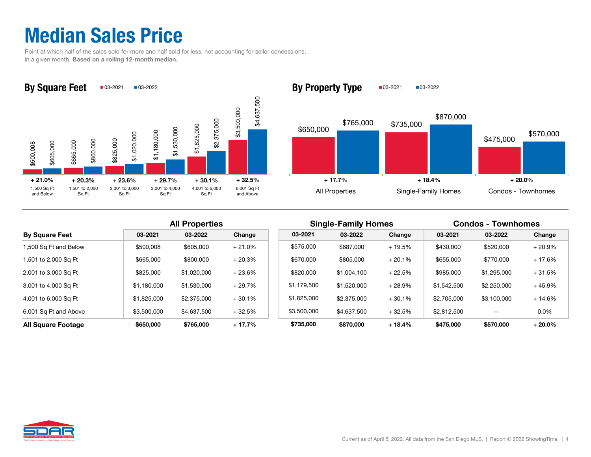### Median Sales Price

 Point at which half of the sales sold for more and half sold for less, not accounting for seller concessions, in a given month. Based on a rolling 12-month median.





|                           |             | <b>All Properties</b> |          |  |             | <b>Single-Family Homes</b> |          | <b>Condos - Townhomes</b> |             |          |  |
|---------------------------|-------------|-----------------------|----------|--|-------------|----------------------------|----------|---------------------------|-------------|----------|--|
| <b>By Square Feet</b>     | 03-2021     | 03-2022               | Change   |  | 03-2021     | 03-2022                    | Change   | 03-2021                   | 03-2022     | Change   |  |
| 1,500 Sq Ft and Below     | \$500,008   | \$605,000             | $+21.0%$ |  | \$575,000   | \$687,000                  | $+19.5%$ | \$430,000                 | \$520,000   | $+20.9%$ |  |
| 1,501 to 2,000 Sq Ft      | \$665,000   | \$800,000             | $+20.3%$ |  | \$670,000   | \$805,000                  | $+20.1%$ | \$655,000                 | \$770,000   | $+17.6%$ |  |
| 2,001 to 3,000 Sq Ft      | \$825,000   | \$1,020,000           | $+23.6%$ |  | \$820,000   | \$1,004.100                | $+22.5%$ | \$985,000                 | \$1,295,000 | $+31.5%$ |  |
| 3,001 to 4,000 Sq Ft      | \$1,180,000 | \$1,530,000           | $+29.7%$ |  | \$1,179,500 | \$1,520,000                | $+28.9%$ | \$1,542,500               | \$2,250,000 | $+45.9%$ |  |
| 4,001 to 6,000 Sq Ft      | \$1,825,000 | \$2,375,000           | $+30.1%$ |  | \$1,825,000 | \$2,375,000                | $+30.1%$ | \$2,705,000               | \$3.100.000 | $+14.6%$ |  |
| 6,001 Sq Ft and Above     | \$3,500,000 | \$4,637,500           | $+32.5%$ |  | \$3,500,000 | \$4,637,500                | $+32.5%$ | \$2,812,500               | $- -$       | $0.0\%$  |  |
| <b>All Square Footage</b> | \$650,000   | \$765,000             | $+17.7%$ |  | \$735,000   | \$870,000                  | $+18.4%$ | \$475,000                 | \$570,000   | $+20.0%$ |  |

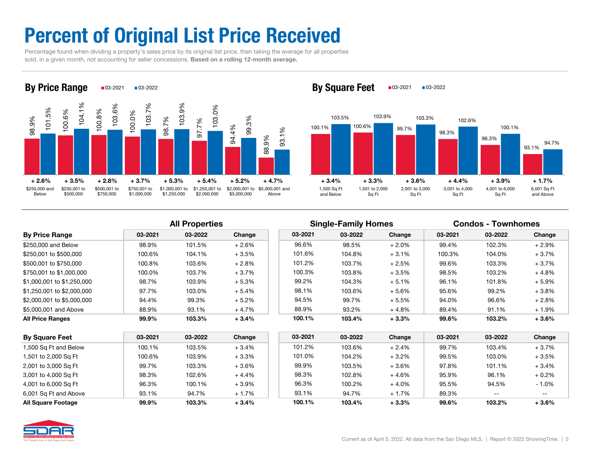## Percent of Original List Price Received

 Percentage found when dividing a property's sales price by its original list price, then taking the average for all properties sold, in a given month, not accounting for seller concessions. Based on a rolling 12-month average.



By Square Feet  $\Box$ 03-2021  $\Box$ 03-2022



| <b>By Price Range</b>      | 03-2021 | 03-2022 | Change   | 03-2021 | 03-2022 | Change   | 03-2021 | 03-2022 | Change  |
|----------------------------|---------|---------|----------|---------|---------|----------|---------|---------|---------|
| \$250,000 and Below        | 98.9%   | 101.5%  | $+2.6\%$ | 96.6%   | 98.5%   | $+2.0\%$ | 99.4%   | 102.3%  | $+2.9%$ |
| \$250,001 to \$500,000     | 100.6%  | 104.1%  | $+3.5%$  | 101.6%  | 104.8%  | $+3.1%$  | 100.3%  | 104.0%  | $+3.7%$ |
| \$500,001 to \$750,000     | 100.8%  | 103.6%  | $+2.8%$  | 101.2%  | 103.7%  | $+2.5%$  | 99.6%   | 103.3%  | $+3.7%$ |
| \$750,001 to \$1,000,000   | 100.0%  | 103.7%  | $+3.7%$  | 100.3%  | 103.8%  | $+3.5%$  | 98.5%   | 103.2%  | $+4.8%$ |
| \$1,000,001 to \$1,250,000 | 98.7%   | 103.9%  | $+5.3%$  | 99.2%   | 104.3%  | $+5.1%$  | 96.1%   | 101.8%  | $+5.9%$ |
| \$1,250,001 to \$2,000,000 | 97.7%   | 103.0%  | $+5.4%$  | 98.1%   | 103.6%  | $+5.6%$  | 95.6%   | 99.2%   | $+3.8%$ |
| \$2,000,001 to \$5,000,000 | 94.4%   | 99.3%   | $+5.2\%$ | 94.5%   | 99.7%   | $+5.5%$  | 94.0%   | 96.6%   | $+2.8%$ |
| \$5,000,001 and Above      | 88.9%   | 93.1%   | $+4.7%$  | 88.9%   | 93.2%   | $+4.8%$  | 89.4%   | 91.1%   | $+1.9%$ |
| <b>All Price Ranges</b>    | 99.9%   | 103.3%  | $+3.4%$  | 100.1%  | 103.4%  | $+3.3%$  | 99.6%   | 103.2%  | $+3.6%$ |

|                            |         | <b>All Properties</b> |         |         | <b>Single-Family Homes</b> |          |         | <b>Condos - Townhomes</b> |         |
|----------------------------|---------|-----------------------|---------|---------|----------------------------|----------|---------|---------------------------|---------|
| By Price Range             | 03-2021 | 03-2022               | Change  | 03-2021 | 03-2022                    | Change   | 03-2021 | 03-2022                   | Change  |
| \$250,000 and Below        | 98.9%   | 101.5%                | $+2.6%$ | 96.6%   | 98.5%                      | $+2.0\%$ | 99.4%   | 102.3%                    | $+2.9%$ |
| \$250.001 to \$500.000     | 100.6%  | 104.1%                | $+3.5%$ | 101.6%  | 104.8%                     | $+3.1%$  | 100.3%  | 104.0%                    | $+3.7%$ |
| \$500,001 to \$750,000     | 100.8%  | 103.6%                | $+2.8%$ | 101.2%  | 103.7%                     | $+2.5%$  | 99.6%   | 103.3%                    | $+3.7%$ |
| \$750.001 to \$1.000.000   | 100.0%  | 103.7%                | $+3.7%$ | 100.3%  | 103.8%                     | $+3.5\%$ | 98.5%   | 103.2%                    | $+4.8%$ |
| \$1.000.001 to \$1.250.000 | 98.7%   | 103.9%                | $+5.3%$ | 99.2%   | 104.3%                     | $+5.1%$  | 96.1%   | 101.8%                    | $+5.9%$ |
| \$1,250,001 to \$2,000,000 | 97.7%   | 103.0%                | $+5.4%$ | 98.1%   | 103.6%                     | $+5.6%$  | 95.6%   | 99.2%                     | $+3.8%$ |
| \$2,000,001 to \$5,000,000 | 94.4%   | 99.3%                 | $+5.2%$ | 94.5%   | 99.7%                      | $+5.5\%$ | 94.0%   | 96.6%                     | $+2.8%$ |
| \$5,000,001 and Above      | 88.9%   | 93.1%                 | $+4.7%$ | 88.9%   | 93.2%                      | $+4.8%$  | 89.4%   | 91.1%                     | $+1.9%$ |
| All Price Ranges           | 99.9%   | 103.3%                | $+3.4%$ | 100.1%  | 103.4%                     | $+3.3%$  | 99.6%   | 103.2%                    | $+3.6%$ |

| <b>By Square Feet</b> | 03-2021 | 03-2022 | Change  | 03-2021 | 03-2022 | Change   | 03-2021 | 03-2022 | Change  |
|-----------------------|---------|---------|---------|---------|---------|----------|---------|---------|---------|
| 1,500 Sq Ft and Below | 100.1%  | 103.5%  | $+3.4%$ | 101.2%  | 103.6%  | $+2.4%$  | 99.7%   | 103.4%  | $+3.7%$ |
| 1,501 to 2,000 Sq Ft  | 100.6%  | 103.9%  | $+3.3%$ | 101.0%  | 104.2%  | $+3.2%$  | 99.5%   | 103.0%  | $+3.5%$ |
| 2,001 to 3,000 Sq Ft  | 99.7%   | 103.3%  | $+3.6%$ | 99.9%   | 103.5%  | $+3.6%$  | 97.8%   | 101.1%  | $+3.4%$ |
| 3,001 to 4,000 Sq Ft  | 98.3%   | 102.6%  | $+4.4%$ | 98.3%   | 102.8%  | $+4.6%$  | 95.9%   | 96.1%   | $+0.2%$ |
| 4,001 to 6,000 Sq Ft  | 96.3%   | 100.1%  | $+3.9%$ | 96.3%   | 100.2%  | $+4.0\%$ | 95.5%   | 94.5%   | $-1.0%$ |
| 6,001 Sq Ft and Above | 93.1%   | 94.7%   | $+1.7%$ | 93.1%   | 94.7%   | $+1.7%$  | 89.3%   | $- -$   | $- -$   |
| All Square Footage    | 99.9%   | 103.3%  | $+3.4%$ | 100.1%  | 103.4%  | $+3.3%$  | 99.6%   | 103.2%  | $+3.6%$ |

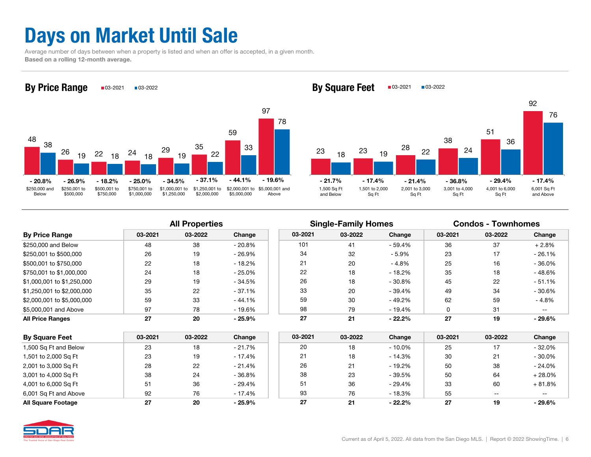## Days on Market Until Sale

 Average number of days between when a property is listed and when an offer is accepted, in a given month. Based on a rolling 12-month average.



By Square Feet  $\Box$ 03-2021  $\Box$ 03-2022



| <b>By Price Range</b>      | 03-2021 | 03-2022 | Change   |
|----------------------------|---------|---------|----------|
| \$250,000 and Below        | 48      | 38      | $-20.8%$ |
| \$250,001 to \$500,000     | 26      | 19      | $-26.9%$ |
| \$500,001 to \$750,000     | 22      | 18      | $-18.2%$ |
| \$750,001 to \$1,000,000   | 24      | 18      | $-25.0%$ |
| \$1,000,001 to \$1,250,000 | 29      | 19      | $-34.5%$ |
| \$1,250,001 to \$2,000,000 | 35      | 22      | $-37.1%$ |
| \$2,000,001 to \$5,000,000 | 59      | 33      | $-44.1%$ |
| \$5,000,001 and Above      | 97      | 78      | $-19.6%$ |
| <b>All Price Ranges</b>    | 27      | 20      | $-25.9%$ |

|                            |         | <b>All Properties</b> |          |         | <b>Single-Family Homes</b> |          | <b>Condos - Townhomes</b> |         |               |  |
|----------------------------|---------|-----------------------|----------|---------|----------------------------|----------|---------------------------|---------|---------------|--|
| <b>By Price Range</b>      | 03-2021 | 03-2022               | Change   | 03-2021 | 03-2022                    | Change   | 03-2021                   | 03-2022 | Change        |  |
| \$250,000 and Below        | 48      | 38                    | $-20.8%$ | 101     | 41                         | - 59.4%  | 36                        | 37      | $+2.8%$       |  |
| \$250.001 to \$500.000     | 26      | 19                    | $-26.9%$ | 34      | 32                         | $-5.9\%$ | 23                        | 17      | $-26.1%$      |  |
| \$500.001 to \$750.000     | 22      | 18                    | $-18.2%$ | 21      | 20                         | $-4.8%$  | 25                        | 16      | $-36.0%$      |  |
| \$750.001 to \$1.000.000   | 24      | 18                    | $-25.0%$ | 22      | 18                         | - 18.2%  | 35                        | 18      | $-48.6%$      |  |
| \$1,000,001 to \$1,250,000 | 29      | 19                    | - 34.5%  | 26      | 18                         | $-30.8%$ | 45                        | 22      | $-51.1\%$     |  |
| \$1.250.001 to \$2.000.000 | 35      | 22                    | $-37.1%$ | 33      | 20                         | - 39.4%  | 49                        | 34      | $-30.6%$      |  |
| \$2,000,001 to \$5,000,000 | 59      | 33                    | $-44.1%$ | 59      | 30                         | - 49.2%  | 62                        | 59      | $-4.8%$       |  |
| \$5,000,001 and Above      | 97      | 78                    | - 19.6%  | 98      | 79                         | - 19.4%  |                           | 31      | $\sim$ $\sim$ |  |
| <b>All Price Ranges</b>    | 27      | 20                    | $-25.9%$ | 27      | 21                         | $-22.2%$ | 27                        | 19      | $-29.6%$      |  |

| <b>By Square Feet</b>     | 03-2021 | 03-2022 | Change   | 03-2021 | 03-2022 | Change    | 03-2021 | 03-2022 | Change   |
|---------------------------|---------|---------|----------|---------|---------|-----------|---------|---------|----------|
|                           |         |         |          |         |         |           |         |         |          |
| 1,500 Sq Ft and Below     | 23      | 18      | $-21.7%$ | 20      | 18      | $-10.0\%$ | 25      |         | $-32.0%$ |
| 1,501 to 2,000 Sq Ft      | 23      | 19      | $-17.4%$ | 21      | 18      | $-14.3%$  | 30      | 21      | $-30.0%$ |
| 2,001 to 3,000 Sq Ft      | 28      | 22      | $-21.4%$ | 26      | 21      | $-19.2%$  | 50      | 38      | $-24.0%$ |
| 3,001 to 4,000 Sq Ft      | 38      | 24      | $-36.8%$ | 38      | 23      | $-39.5%$  | 50      | 64      | $+28.0%$ |
| 4,001 to 6,000 Sq Ft      | 51      | 36      | $-29.4%$ | 51      | 36      | $-29.4%$  | 33      | 60      | $+81.8%$ |
| 6,001 Sq Ft and Above     | 92      | 76      | - 17.4%  | 93      | 76      | $-18.3%$  | 55      | $- -$   | $- -$    |
| <b>All Square Footage</b> | 27      | 20      | $-25.9%$ | 27      | 21      | $-22.2%$  | 27      | 19      | $-29.6%$ |

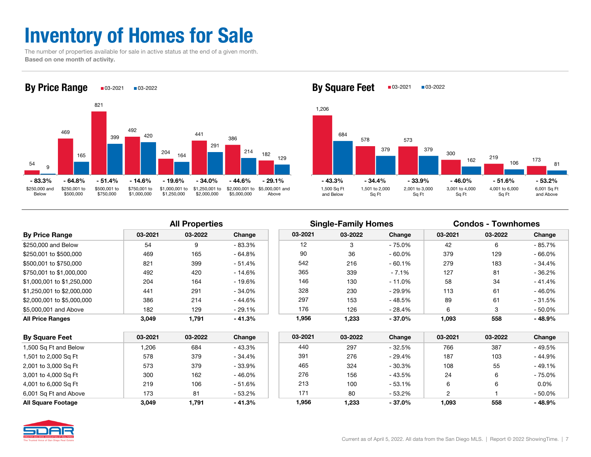## Inventory of Homes for Sale

 The number of properties available for sale in active status at the end of a given month. Based on one month of activity.



By Square Feet  $\Box$ 03-2021  $\Box$ 03-2022



| <b>By Price Range</b>      | 03-2021 | 03-2022 | Change   |
|----------------------------|---------|---------|----------|
| \$250,000 and Below        | 54      | 9       | $-83.3%$ |
| \$250,001 to \$500,000     | 469     | 165     | $-64.8%$ |
| \$500,001 to \$750,000     | 821     | 399     | $-51.4%$ |
| \$750,001 to \$1,000,000   | 492     | 420     | $-14.6%$ |
| \$1,000,001 to \$1,250,000 | 204     | 164     | $-19.6%$ |
| \$1,250,001 to \$2,000,000 | 441     | 291     | $-34.0%$ |
| \$2,000,001 to \$5,000,000 | 386     | 214     | $-44.6%$ |
| \$5,000,001 and Above      | 182     | 129     | $-29.1%$ |
| <b>All Price Ranges</b>    | 3.049   | 1.791   | $-41.3%$ |

|                            | <b>All Properties</b> |         |          |         | <b>Single-Family Homes</b> |           | <b>Condos - Townhomes</b> |         |           |
|----------------------------|-----------------------|---------|----------|---------|----------------------------|-----------|---------------------------|---------|-----------|
| <b>By Price Range</b>      | 03-2021               | 03-2022 | Change   | 03-2021 | 03-2022                    | Change    | 03-2021                   | 03-2022 | Change    |
| \$250,000 and Below        | 54                    | 9       | $-83.3%$ | 12      |                            | - 75.0%   | 42                        |         | $-85.7%$  |
| \$250.001 to \$500.000     | 469                   | 165     | $-64.8%$ | 90      | 36                         | $-60.0\%$ | 379                       | 129     | $-66.0%$  |
| \$500.001 to \$750.000     | 821                   | 399     | $-51.4%$ | 542     | 216                        | $-60.1%$  | 279                       | 183     | $-34.4%$  |
| \$750.001 to \$1.000.000   | 492                   | 420     | $-14.6%$ | 365     | 339                        | $-7.1%$   | 127                       | 81      | $-36.2%$  |
| \$1.000.001 to \$1.250.000 | 204                   | 164     | $-19.6%$ | 146     | 130                        | $-11.0%$  | 58                        | 34      | $-41.4%$  |
| \$1,250,001 to \$2,000,000 | 441                   | 291     | $-34.0%$ | 328     | 230                        | - 29.9%   | 113                       | 61      | $-46.0%$  |
| \$2.000.001 to \$5.000.000 | 386                   | 214     | $-44.6%$ | 297     | 153                        | - 48.5%   | 89                        | 61      | $-31.5%$  |
| \$5,000,001 and Above      | 182                   | 129     | $-29.1%$ | 176     | 126                        | - 28.4%   | 6                         |         | $-50.0\%$ |
| All Price Ranges           | 3.049                 | 1,791   | $-41.3%$ | 1.956   | 1.233                      | $-37.0%$  | 1,093                     | 558     | $-48.9%$  |

| <b>By Square Feet</b>     | 03-2021 | 03-2022 | Change    | 03-2021 | 03-2022 | Change    | 03-2021 | 03-2022 | Change   |
|---------------------------|---------|---------|-----------|---------|---------|-----------|---------|---------|----------|
| 1,500 Sq Ft and Below     | ,206    | 684     | - 43.3%   | 440     | 297     | - 32.5%   | 766     | 387     | $-49.5%$ |
| 1,501 to 2,000 Sq Ft      | 578     | 379     | - 34.4%   | 391     | 276     | - 29.4%   | 187     | 103     | $-44.9%$ |
| 2,001 to 3,000 Sq Ft      | 573     | 379     | - 33.9%   | 465     | 324     | - 30.3%   | 108     | 55      | $-49.1%$ |
| 3,001 to 4,000 Sq Ft      | 300     | 162     | $-46.0%$  | 276     | 156     | - 43.5%   | 24      |         | $-75.0%$ |
| 4,001 to 6,000 Sq Ft      | 219     | 106     | $-51.6%$  | 213     | 100     | - 53.1%   |         |         | $0.0\%$  |
| 6,001 Sq Ft and Above     | 173     | 81      | $-53.2\%$ | $17 -$  | 80      | - 53.2%   |         |         | $-50.0%$ |
| <b>All Square Footage</b> | 3.049   | 1,791   | $-41.3%$  | 1,956   | 1,233   | $-37.0\%$ | 1,093   | 558     | $-48.9%$ |